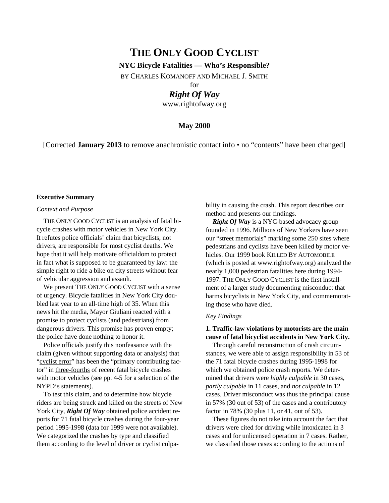# **THE ONLY GOOD CYCLIST**

# **NYC Bicycle Fatalities — Who's Responsible?**

BY CHARLES KOMANOFF AND MICHAEL J. SMITH

for

# *Right Of Way*

www.rightofway.org

# **May 2000**

[Corrected **January 2013** to remove anachronistic contact info • no "contents" have been changed]

#### **Executive Summary**

### *Context and Purpose*

THE ONLY GOOD CYCLIST is an analysis of fatal bicycle crashes with motor vehicles in New York City. It refutes police officials' claim that bicyclists, not drivers, are responsible for most cyclist deaths. We hope that it will help motivate officialdom to protect in fact what is supposed to be guaranteed by law: the simple right to ride a bike on city streets without fear of vehicular aggression and assault.

We present THE ONLY GOOD CYCLIST with a sense of urgency. Bicycle fatalities in New York City doubled last year to an all-time high of 35. When this news hit the media, Mayor Giuliani reacted with a promise to protect cyclists (and pedestrians) from dangerous drivers. This promise has proven empty; the police have done nothing to honor it.

Police officials justify this nonfeasance with the claim (given without supporting data or analysis) that "cyclist error" has been the "primary contributing factor" in three-fourths of recent fatal bicycle crashes with motor vehicles (see pp. 4-5 for a selection of the NYPD's statements).

To test this claim, and to determine how bicycle riders are being struck and killed on the streets of New York City, **Right Of Way** obtained police accident reports for 71 fatal bicycle crashes during the four-year period 1995-1998 (data for 1999 were not available). We categorized the crashes by type and classified them according to the level of driver or cyclist culpability in causing the crash. This report describes our method and presents our findings.

*Right Of Way* is a NYC-based advocacy group founded in 1996. Millions of New Yorkers have seen our "street memorials" marking some 250 sites where pedestrians and cyclists have been killed by motor vehicles. Our 1999 book KILLED BY AUTOMOBILE (which is posted at www.rightofway.org) analyzed the nearly 1,000 pedestrian fatalities here during 1994- 1997. THE ONLY GOOD CYCLIST is the first installment of a larger study documenting misconduct that harms bicyclists in New York City, and commemorating those who have died.

## *Key Findings*

# **1. Traffic-law violations by motorists are the main cause of fatal bicyclist accidents in New York City.**

Through careful reconstruction of crash circumstances, we were able to assign responsibility in 53 of the 71 fatal bicycle crashes during 1995-1998 for which we obtained police crash reports. We determined that drivers were *highly culpable* in 30 cases, *partly culpable* in 11 cases, and *not culpable* in 12 cases. Driver misconduct was thus the principal cause in 57% (30 out of 53) of the cases and a contributory factor in 78% (30 plus 11, or 41, out of 53).

These figures do not take into account the fact that drivers were cited for driving while intoxicated in 3 cases and for unlicensed operation in 7 cases. Rather, we classified those cases according to the actions of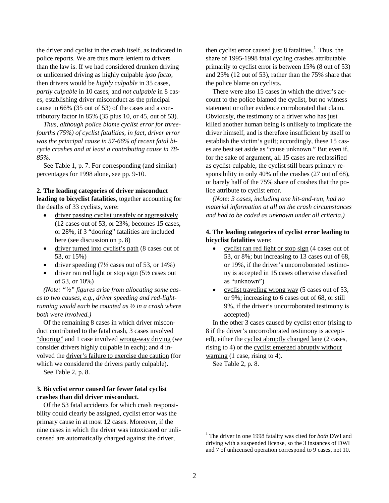the driver and cyclist in the crash itself, as indicated in police reports. We are thus more lenient to drivers than the law is. If we had considered drunken driving or unlicensed driving as highly culpable *ipso facto*, then drivers would be *highly culpable* in 35 cases, *partly culpable* in 10 cases, and *not culpable* in 8 cases, establishing driver misconduct as the principal cause in 66% (35 out of 53) of the cases and a contributory factor in 85% (35 plus 10, or 45, out of 53).

*Thus, although police blame cyclist error for threefourths (75%) of cyclist fatalities, in fact, driver error was the principal cause in 57-66% of recent fatal bicycle crashes and at least a contributing cause in 78- 85%.*

See Table 1, p. 7. For corresponding (and similar) percentages for 1998 alone, see pp. 9-10.

# **2. The leading categories of driver misconduct leading to bicyclist fatalities**, together accounting for

the deaths of 33 cyclists, were:

- driver passing cyclist unsafely or aggressively (12 cases out of 53, or 23%; becomes 15 cases, or 28%, if 3 "dooring" fatalities are included here (see discussion on p. 8)
- driver turned into cyclist's path (8 cases out of 53, or 15%)
- driver speeding  $(7\frac{1}{2})$  cases out of 53, or 14%)
- driver ran red light or stop sign  $(5\frac{1}{2})$  cases out of 53, or 10%)

*(Note: "½" figures arise from allocating some cases to two causes, e.g., driver speeding and red-lightrunning would each be counted as ½ in a crash where both were involved.)* 

Of the remaining 8 cases in which driver misconduct contributed to the fatal crash, 3 cases involved "dooring" and 1 case involved wrong-way driving (we consider drivers highly culpable in each); and 4 involved the driver's failure to exercise due caution (for which we considered the drivers partly culpable).

See Table 2, p. 8.

# **3. Bicyclist error caused far fewer fatal cyclist crashes than did driver misconduct.**

<span id="page-1-0"></span>Of the 53 fatal accidents for which crash responsibility could clearly be assigned, cyclist error was the primary cause in at most 12 cases. Moreover, if the nine cases in which the driver was intoxicated or unlicensed are automatically charged against the driver,

then cyclist error caused just 8 fatalities.<sup>[1](#page-1-0)</sup> Thus, the share of 1995-1998 fatal cycling crashes attributable primarily to cyclist error is between 15% (8 out of 53) and 23% (12 out of 53), rather than the 75% share that the police blame on cyclists.

There were also 15 cases in which the driver's account to the police blamed the cyclist, but no witness statement or other evidence corroborated that claim. Obviously, the testimony of a driver who has just killed another human being is unlikely to implicate the driver himself, and is therefore insufficient by itself to establish the victim's guilt; accordingly, these 15 cases are best set aside as "cause unknown." But even if, for the sake of argument, all 15 cases are reclassified as cyclist-culpable, the cyclist still bears primary responsibility in only 40% of the crashes (27 out of 68), or barely half of the 75% share of crashes that the police attribute to cyclist error.

*(Note: 3 cases, including one hit-and-run, had no material information at all on the crash circumstances and had to be coded as unknown under all criteria.)*

# **4. The leading categories of cyclist error leading to bicyclist fatalities** were:

- cyclist ran red light or stop sign (4 cases out of 53, or 8%; but increasing to 13 cases out of 68, or 19%, if the driver's uncorroborated testimony is accepted in 15 cases otherwise classified as "unknown")
- cyclist traveling wrong way (5 cases out of 53, or 9%; increasing to 6 cases out of 68, or still 9%, if the driver's uncorroborated testimony is accepted)

In the other 3 cases caused by cyclist error (rising to 8 if the driver's uncorroborated testimony is accepted), either the cyclist abruptly changed lane (2 cases, rising to 4) or the cyclist emerged abruptly without warning (1 case, rising to 4).

See Table 2, p. 8.

 <sup>1</sup> The driver in one 1998 fatality was cited for *both* DWI and driving with a suspended license, so the 3 instances of DWI and 7 of unlicensed operation correspond to 9 cases, not 10.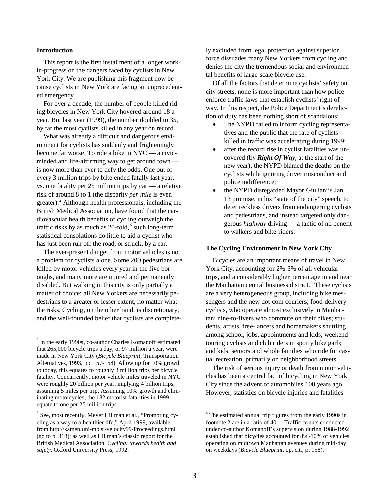#### **Introduction**

This report is the first installment of a longer workin-progress on the dangers faced by cyclists in New York City. We are publishing this fragment now because cyclists in New York are facing an unprecedented emergency.

For over a decade, the number of people killed riding bicycles in New York City hovered around 18 a year. But last year (1999), the number doubled to 35, by far the most cyclists killed in any year on record.

What was already a difficult and dangerous environment for cyclists has suddenly and frighteningly become far worse. To ride a bike in NYC — a civicminded and life-affirming way to get around town is now more than ever to defy the odds. One out of every 3 million trips by bike ended fatally last year, vs. one fatality per 25 million trips by car — a relative risk of around 8 to 1 (the disparity *per mile* is even greater). $^2$  $^2$  Although health professionals, including the British Medical Association, have found that the cardiovascular health benefits of cycling outweigh the traffic risks by as much as  $20$ -fold,<sup>[3](#page-2-1)</sup> such long-term statistical consolations do little to aid a cyclist who has just been run off the road, or struck, by a car.

The ever-present danger from motor vehicles is not a problem for cyclists alone. Some 200 pedestrians are killed by motor vehicles every year in the five boroughs, and many more are injured and permanently disabled. But walking in this city is only partially a matter of choice; all New Yorkers are necessarily pedestrians to a greater or lesser extent, no matter what the risks. Cycling, on the other hand, is discretionary, and the well-founded belief that cyclists are completely excluded from legal protection against superior force dissuades many New Yorkers from cycling and denies the city the tremendous social and environmental benefits of large-scale bicycle use.

Of all the factors that determine cyclists' safety on city streets, none is more important than how police enforce traffic laws that establish cyclists' right of way. In this respect, the Police Department's dereliction of duty has been nothing short of scandalous:

- The NYPD failed to inform cycling representatives and the public that the rate of cyclists killed in traffic was accelerating during 1999;
- after the record rise in cyclist fatalities was uncovered (by *Right Of Way*, at the start of the new year), the NYPD blamed the deaths on the cyclists while ignoring driver misconduct and police indifference;
- the NYPD disregarded Mayor Giuliani's Jan. 13 promise, in his "state of the city" speech, to deter reckless drivers from endangering cyclists and pedestrians, and instead targeted only dangerous *highway* driving — a tactic of no benefit to walkers and bike-riders.

# **The Cycling Environment in New York City**

Bicycles are an important means of travel in New York City, accounting for 2%-3% of all vehicular trips, and a considerably higher percentage in and near the Manhattan central business district.<sup>[4](#page-2-1)</sup> These cyclists are a very heterogeneous group, including bike messengers and the new dot-com couriers; food-delivery cyclists, who operate almost exclusively in Manhattan; nine-to-fivers who commute on their bikes; students, artists, free-lancers and homemakers shuttling among school, jobs, appointments and kids; weekend touring cyclists and club riders in sporty bike garb; and kids, seniors and whole families who ride for casual recreation, primarily on neighborhood streets.

The risk of serious injury or death from motor vehicles has been a central fact of bicycling in New York City since the advent of automobiles 100 years ago. However, statistics on bicycle injuries and fatalities

<span id="page-2-0"></span> <sup>2</sup> In the early 1990s, co-author Charles Komanoff estimated that 265,000 bicycle trips a day, or 97 million a year, were made in New York City (*Bicycle Blueprint*, Transportation Alternatives, 1993, pp. 157-158). Allowing for 10% growth to today, this equates to roughly 3 million trips per bicycle fatality. Concurrently, motor vehicle miles traveled in NYC were roughly 20 billion per year, implying 4 billion trips, assuming 5 miles per trip. Assuming 10% growth and eliminating motorcycles, the 182 motorist fatalities in 1999 equate to one per 25 million trips.

<span id="page-2-1"></span><sup>&</sup>lt;sup>3</sup> See, most recently, Meyer Hillman et al., "Promoting cycling as a way to a healthier life," April 1999, available from http://kamen.uni-mb.si/velocity99/Proceedings.html (go to p. 318); as well as Hillman's classic report for the British Medical Association, *Cycling: towards health and safety*, Oxford University Press, 1992.

<sup>&</sup>lt;sup>4</sup> The estimated annual trip figures from the early 1990s in footnote 2 are in a ratio of 40-1. Traffic counts conducted under co-author Komanoff's supervision during 1988-1992 established that bicycles accounted for 8%-10% of vehicles operating on midtown Manhattan avenues during mid-day on weekdays (*Bicycle Blueprint,* op. cit., p. 158).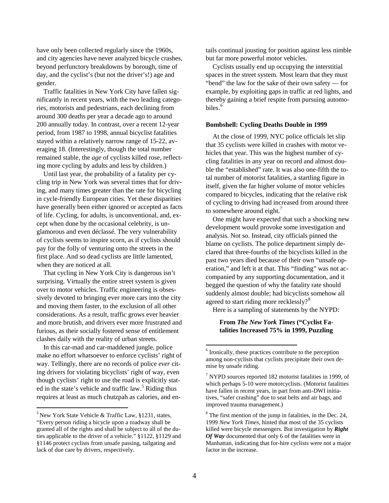have only been collected regularly since the 1960s, and city agencies have never analyzed bicycle crashes, beyond perfunctory breakdowns by borough, time of day, and the cyclist's (but not the driver's!) age and gender.

Traffic fatalities in New York City have fallen significantly in recent years, with the two leading categories, motorists and pedestrians, each declining from around 300 deaths per year a decade ago to around 200 annually today. In contrast, over a recent 12-year period, from 1987 to 1998, annual bicyclist fatalities stayed within a relatively narrow range of 15-22, averaging 18. (Interestingly, though the total number remained stable, the *age* of cyclists killed rose, reflecting more cycling by adults and less by children.)

Until last year, the probability of a fatality per cycling trip in New York was several times that for driving, and many times greater than the rate for bicycling in cycle-friendly European cities. Yet these disparities have generally been either ignored or accepted as facts of life. Cycling, for adults, is unconventional, and, except when done by the occasional celebrity, is unglamorous and even déclassé. The very vulnerability of cyclists seems to inspire scorn, as if cyclists should pay for the folly of venturing onto the streets in the first place. And so dead cyclists are little lamented, when they are noticed at all.

That cycling in New York City is dangerous isn't surprising. Virtually the entire street system is given over to motor vehicles. Traffic engineering is obsessively devoted to bringing ever more cars into the city and moving them faster, to the exclusion of all other considerations. As a result, traffic grows ever heavier and more brutish, and drivers ever more frustrated and furious, as their socially fostered sense of entitlement clashes daily with the reality of urban streets.

<span id="page-3-2"></span><span id="page-3-1"></span>In this car-mad and car-maddened jungle, police make no effort whatsoever to enforce cyclists' right of way. Tellingly, there are no records of police *ever* citing drivers for violating bicyclists' right of way, even though cyclists' right to use the road is explicitly stated in the state's vehicle and traffic law. $5$  Riding thus requires at least as much chutzpah as calories, and entails continual jousting for position against less nimble but far more powerful motor vehicles.

Cyclists usually end up occupying the interstitial spaces in the street system. Most learn that they must "bend" the law for the sake of their own safety — for example, by exploiting gaps in traffic at red lights, and thereby gaining a brief respite from pursuing automo-biles.<sup>[6](#page-3-1)</sup>

# **Bombshell: Cycling Deaths Double in 1999**

At the close of 1999, NYC police officials let slip that 35 cyclists were killed in crashes with motor vehicles that year. This was the highest number of cycling fatalities in any year on record and almost double the "established" rate. It was also one-fifth the total number of motorist fatalities, a startling figure in itself, given the far higher volume of motor vehicles compared to bicycles, indicating that the relative risk of cycling to driving had increased from around three to somewhere around eight. $<sup>7</sup>$  $<sup>7</sup>$  $<sup>7</sup>$ </sup>

One might have expected that such a shocking new development would provoke some investigation and analysis. Not so. Instead, city officials pinned the blame on cyclists. The police department simply declared that three-fourths of the bicyclists killed in the past two years died because of their own "unsafe operation," and left it at that. This "finding" was not accompanied by any supporting documentation, and it begged the question of why the fatality rate should suddenly almost double; had bicyclists somehow all agreed to start riding more recklessly? $8^8$  $8^8$ 

Here is a sampling of statements by the NYPD:

# **From** *The New York Times* **("Cyclist Fatalities Increased 75% in 1999, Puzzling**

<span id="page-3-3"></span><span id="page-3-0"></span> $5$  New York State Vehicle & Traffic Law, §1231, states, "Every person riding a bicycle upon a roadway shall be granted all of the rights and shall be subject to all of the duties applicable to the driver of a vehicle." §1122, §1129 and §1146 protect cyclists from unsafe passing, tailgating and lack of due care by drivers, respectively.

<sup>&</sup>lt;sup>6</sup> Ironically, these practices contribute to the perception among non-cyclists that cyclists precipitate their own demise by unsafe riding.

 $7$  NYPD sources reported 182 motorist fatalities in 1999, of which perhaps 5-10 were motorcyclists. (Motorist fatalities have fallen in recent years, in part from anti-DWI initiatives, "safer crashing" due to seat belts and air bags, and improved trauma management.)

 $8$  The first mention of the jump in fatalities, in the Dec. 24, 1999 *New York Times*, hinted that most of the 35 cyclists killed were bicycle messengers. But investigation by *Right Of Way* documented that only 6 of the fatalities were in Manhattan, indicating that for-hire cyclists were not a major factor in the increase.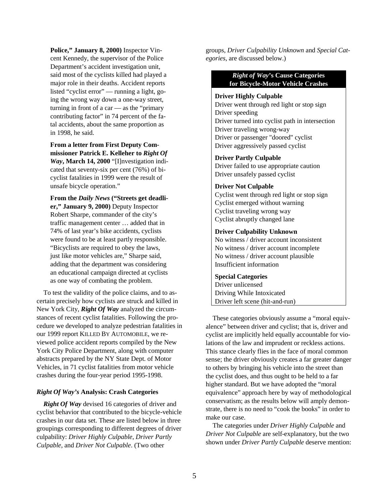**Police," January 8, 2000)** Inspector Vincent Kennedy, the supervisor of the Police Department's accident investigation unit, said most of the cyclists killed had played a major role in their deaths. Accident reports listed "cyclist error" — running a light, going the wrong way down a one-way street, turning in front of a car — as the "primary contributing factor" in 74 percent of the fatal accidents, about the same proportion as in 1998, he said.

**From a letter from First Deputy Commissioner Patrick E. Kelleher to** *Right Of Way***, March 14, 2000** "[I]nvestigation indicated that seventy-six per cent (76%) of bicyclist fatalities in 1999 were the result of unsafe bicycle operation."

**From the** *Daily News* **("Streets get deadlier," January 9, 2000)** Deputy Inspector Robert Sharpe, commander of the city's traffic management center … added that in 74% of last year's bike accidents, cyclists were found to be at least partly responsible. "Bicyclists are required to obey the laws, just like motor vehicles are," Sharpe said, adding that the department was considering an educational campaign directed at cyclists as one way of combating the problem.

To test the validity of the police claims, and to ascertain precisely how cyclists are struck and killed in New York City, *Right Of Way* analyzed the circumstances of recent cyclist fatalities. Following the procedure we developed to analyze pedestrian fatalities in our 1999 report KILLED BY AUTOMOBILE, we reviewed police accident reports compiled by the New York City Police Department, along with computer abstracts prepared by the NY State Dept. of Motor Vehicles, in 71 cyclist fatalities from motor vehicle crashes during the four-year period 1995-1998.

# *Right Of Way's* **Analysis: Crash Categories**

*Right Of Way* devised 16 categories of driver and cyclist behavior that contributed to the bicycle-vehicle crashes in our data set. These are listed below in three groupings corresponding to different degrees of driver culpability: *Driver Highly Culpable*, *Driver Partly Culpable*, and *Driver Not Culpable*. (Two other

groups, *Driver Culpability Unknown* and *Special Categories*, are discussed below.)

> *Right of Way***'s Cause Categories for Bicycle-Motor Vehicle Crashes**

## **Driver Highly Culpable**

Driver went through red light or stop sign Driver speeding Driver turned into cyclist path in intersection Driver traveling wrong-way Driver or passenger "doored" cyclist Driver aggressively passed cyclist

**Driver Partly Culpable**

Driver failed to use appropriate caution Driver unsafely passed cyclist

## **Driver Not Culpable**

Cyclist went through red light or stop sign Cyclist emerged without warning Cyclist traveling wrong way Cyclist abruptly changed lane

## **Driver Culpability Unknown**

No witness / driver account inconsistent No witness / driver account incomplete No witness / driver account plausible Insufficient information

### **Special Categories**

Driver unlicensed Driving While Intoxicated Driver left scene (hit-and-run)

These categories obviously assume a "moral equivalence" between driver and cyclist; that is, driver and cyclist are implicitly held equally accountable for violations of the law and imprudent or reckless actions. This stance clearly flies in the face of moral common sense; the driver obviously creates a far greater danger to others by bringing his vehicle into the street than the cyclist does, and thus ought to be held to a far higher standard. But we have adopted the "moral equivalence" approach here by way of methodological conservatism; as the results below will amply demonstrate, there is no need to "cook the books" in order to make our case.

The categories under *Driver Highly Culpable* and *Driver Not Culpable* are self-explanatory, but the two shown under *Driver Partly Culpable* deserve mention: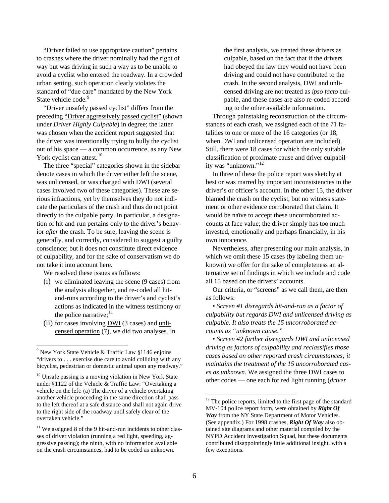"Driver failed to use appropriate caution" pertains to crashes where the driver nominally had the right of way but was driving in such a way as to be unable to avoid a cyclist who entered the roadway. In a crowded urban setting, such operation clearly violates the standard of "due care" mandated by the New York State vehicle code.<sup>[9](#page-5-0)</sup>

"Driver unsafely passed cyclist" differs from the preceding "Driver aggressively passed cyclist" (shown under *Driver Highly Culpable*) in degree; the latter was chosen when the accident report suggested that the driver was intentionally trying to bully the cyclist out of his space — a common occurrence, as any New York cyclist can attest.<sup>[10](#page-5-1)</sup>

The three "special" categories shown in the sidebar denote cases in which the driver either left the scene, was unlicensed, or was charged with DWI (several cases involved two of these categories). These are serious infractions, yet by themselves they do not indicate the particulars of the crash and thus do not point directly to the culpable party. In particular, a designation of hit-and-run pertains only to the driver's behavior *after* the crash. To be sure, leaving the scene is generally, and correctly, considered to suggest a guilty conscience; but it does not constitute direct evidence of culpability, and for the sake of conservatism we do not take it into account here.

We resolved these issues as follows:

- (i) we eliminated leaving the scene (9 cases) from the analysis altogether, and re-coded all hitand-runs according to the driver's and cyclist's actions as indicated in the witness testimony or the police narrative; $^{11}$  $^{11}$  $^{11}$
- (ii) for cases involving DWI (3 cases) and unlicensed operation (7), we did two analyses. In

the first analysis, we treated these drivers as culpable, based on the fact that if the drivers had obeyed the law they would not have been driving and could not have contributed to the crash. In the second analysis, DWI and unlicensed driving are not treated as *ipso facto* culpable, and these cases are also re-coded according to the other available information.

Through painstaking reconstruction of the circumstances of each crash, we assigned each of the 71 fatalities to one or more of the 16 categories (or 18, when DWI and unlicensed operation are included). Still, there were 18 cases for which the only suitable classification of proximate cause and driver culpability was "unknown."[12](#page-5-3)

In three of these the police report was sketchy at best or was marred by important inconsistencies in the driver's or officer's account. In the other 15, the driver blamed the crash on the cyclist, but no witness statement or other evidence corroborated that claim. It would be naïve to accept these uncorroborated accounts at face value; the driver simply has too much invested, emotionally and perhaps financially, in his own innocence.

Nevertheless, after presenting our main analysis, in which we omit these 15 cases (by labeling them unknown) we offer for the sake of completeness an alternative set of findings in which we include and code all 15 based on the drivers' accounts.

Our criteria, or "screens" as we call them, are then as follows:

• *Screen #1 disregards hit-and-run as a factor of culpability but regards DWI and unlicensed driving as culpable. It also treats the 15 uncorroborated accounts as "unknown cause."*

• *Screen #2 further disregards DWI and unlicensed driving as factors of culpability and reclassifies those cases based on other reported crash circumstances; it maintains the treatment of the 15 uncorroborated cases as unknown.* We assigned the three DWI cases to other codes — one each for red light running (*driver* 

<span id="page-5-0"></span> $9$  New York State Vehicle & Traffic Law §1146 enjoins "drivers to . . . exercise due care to avoid colliding with any bicyclist, pedestrian or domestic animal upon any roadway."

<span id="page-5-3"></span><span id="page-5-1"></span> $10$  Unsafe passing is a moving violation in New York State under §1122 of the Vehicle & Traffic Law: "Overtaking a vehicle on the left: (a) The driver of a vehicle overtaking another vehicle proceeding in the same direction shall pass to the left thereof at a safe distance and shall not again drive to the right side of the roadway until safely clear of the overtaken vehicle."

<span id="page-5-2"></span> $11$  We assigned 8 of the 9 hit-and-run incidents to other classes of driver violation (running a red light, speeding, aggressive passing); the ninth, with no information available on the crash circumstances, had to be coded as unknown.

 $12$  The police reports, limited to the first page of the standard MV-104 police report form, were obtained by *Right Of Way* from the NY State Department of Motor Vehicles. (See appendix.) For 1998 crashes, *Right Of Way* also obtained site diagrams and other material compiled by the NYPD Accident Investigation Squad, but these documents contributed disappointingly little additional insight, with a few exceptions.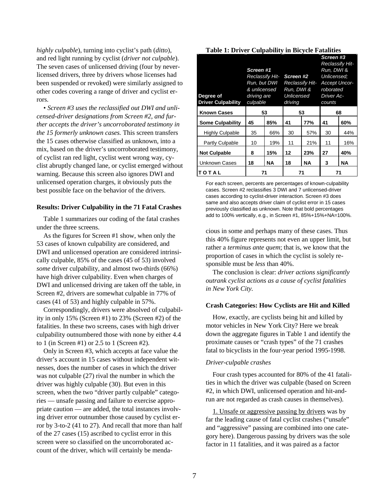*highly culpable*), turning into cyclist's path (*ditto*), and red light running by cyclist (*driver not culpable*). The seven cases of unlicensed driving (four by neverlicensed drivers, three by drivers whose licenses had been suspended or revoked) were similarly assigned to other codes covering a range of driver and cyclist errors.

• *Screen #3 uses the reclassified out DWI and unlicensed-driver designations from Screen #2, and further accepts the driver's uncorroborated testimony in the 15 formerly unknown cases.* This screen transfers the 15 cases otherwise classified as unknown, into a mix, based on the driver's uncorroborated testimony, of cyclist ran red light, cyclist went wrong way, cyclist abruptly changed lane, or cyclist emerged without warning. Because this screen also ignores DWI and unlicensed operation charges, it obviously puts the best possible face on the behavior of the drivers.

#### **Results: Driver Culpability in the 71 Fatal Crashes**

Table 1 summarizes our coding of the fatal crashes under the three screens.

As the figures for Screen #1 show, when only the 53 cases of known culpability are considered, and DWI and unlicensed operation are considered intrinsically culpable, 85% of the cases (45 of 53) involved *some* driver culpability, and almost two-thirds (66%) have high driver culpability. Even when charges of DWI and unlicensed driving are taken off the table, in Screen #2, drivers are somewhat culpable in 77% of cases (41 of 53) and highly culpable in 57%.

Correspondingly, drivers were absolved of culpability in only 15% (Screen #1) to 23% (Screen #2) of the fatalities. In these two screens, cases with high driver culpability outnumbered those with none by either 4.4 to 1 (in Screen #1) or 2.5 to 1 (Screen #2).

Only in Screen #3, which accepts at face value the driver's account in 15 cases without independent witnesses, does the number of cases in which the driver was not culpable (27) rival the number in which the driver was highly culpable (30). But even in this screen, when the two "driver partly culpable" categories — unsafe passing and failure to exercise appropriate caution — are added, the total instances involving driver error outnumber those caused by cyclist error by 3-to-2 (41 to 27). And recall that more than half of the 27 cases (15) ascribed to cyclist error in this screen were so classified on the uncorroborated account of the driver, which will certainly be menda-

| Degree of<br>لاسي<br><b>Driver Culpability</b> | Screen #1<br>Reclassify Hit-<br>Run, but DWI<br>& unlicensed<br>driving are<br>culpable |     | Screen #2<br>Run, DWI &<br>Unlicensed<br>driving | <b>Reclassify Hit-</b> | Screen #3<br><b>Reclassify Hit-</b><br>Run, DWI &<br>Unlicensed:<br><b>Accept Uncor-</b><br>roborated<br>Driver Ac-<br>counts |     |
|------------------------------------------------|-----------------------------------------------------------------------------------------|-----|--------------------------------------------------|------------------------|-------------------------------------------------------------------------------------------------------------------------------|-----|
| <b>Known Cases</b>                             |                                                                                         | 53  |                                                  | 53                     |                                                                                                                               | 68  |
| <b>Some Culpability</b>                        | 45                                                                                      | 85% | 41                                               | 77%                    | 41                                                                                                                            | 60% |
| <b>Highly Culpable</b>                         | 35                                                                                      | 66% | 30                                               | 57%                    | 30                                                                                                                            | 44% |
| Partly Culpable                                | 10                                                                                      | 19% | 11                                               | 21%                    | 11                                                                                                                            | 16% |
| <b>Not Culpable</b>                            | 8                                                                                       | 15% | 12                                               | 23%                    | 27                                                                                                                            | 40% |
| Unknown Cases                                  | 18                                                                                      | NA  | 18                                               | <b>NA</b>              | 3                                                                                                                             | ΝA  |
| TOTAL                                          | 71                                                                                      |     |                                                  | 71                     |                                                                                                                               | 71  |

For each screen, percents are percentages of known-culpability cases. Screen #2 reclassifies 3 DWI and 7 unlicensed-driver cases according to cyclist-driver interaction. Screen #3 does same and also accepts driver claim of cyclist error in 15 cases previously classified as unknown. Note that bold percentages add to 100% vertically, e.g., in Screen #1, 85%+15%+NA=100%.

cious in some and perhaps many of these cases. Thus this 40% figure represents not even an upper limit, but rather a *terminus ante quem*; that is, we know that the proportion of cases in which the cyclist is solely responsible must be *less* than 40%.

The conclusion is clear: *driver actions significantly outrank cyclist actions as a cause of cyclist fatalities in New York City.*

## **Crash Categories: How Cyclists are Hit and Killed**

How, exactly, are cyclists being hit and killed by motor vehicles in New York City? Here we break down the aggregate figures in Table 1 and identify the proximate causes or "crash types" of the 71 crashes fatal to bicyclists in the four-year period 1995-1998.

### *Driver-culpable crashes*

Four crash types accounted for 80% of the 41 fatalities in which the driver was culpable (based on Screen #2, in which DWI, unlicensed operation and hit-andrun are not regarded as crash causes in themselves).

1. Unsafe or aggressive passing by drivers was by far the leading cause of fatal cyclist crashes ("unsafe" and "aggressive" passing are combined into one category here). Dangerous passing by drivers was the sole factor in 11 fatalities, and it was paired as a factor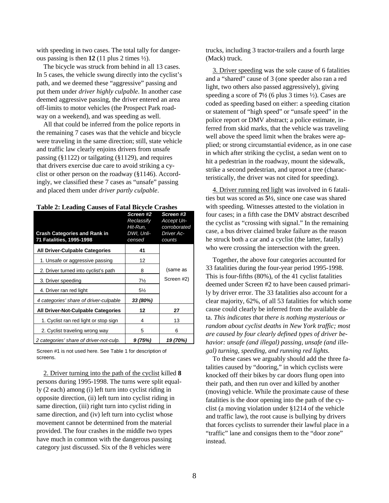with speeding in two cases. The total tally for dangerous passing is then **12** (11 plus 2 times  $\frac{1}{2}$ ).

The bicycle was struck from behind in all 13 cases. In 5 cases, the vehicle swung directly into the cyclist's path, and we deemed these "aggressive" passing and put them under *driver highly culpable*. In another case deemed aggressive passing, the driver entered an area off-limits to motor vehicles (the Prospect Park roadway on a weekend), and was speeding as well.

All that could be inferred from the police reports in the remaining 7 cases was that the vehicle and bicycle were traveling in the same direction; still, state vehicle and traffic law clearly enjoins drivers from unsafe passing (§1122) or tailgating (§1129), and requires that drivers exercise due care to avoid striking a cyclist or other person on the roadway (§1146). Accordingly, we classified these 7 cases as "unsafe" passing and placed them under *driver partly culpable*.

| <b>Crash Categories and Rank in</b><br>71 Fatalities, 1995-1998 | Screen #2<br>Reclassify<br>Hit-Run.<br>DWI, Unli-<br>censed | Screen #3<br>Accept Un-<br>corroborated<br><b>Driver Ac-</b><br>counts |
|-----------------------------------------------------------------|-------------------------------------------------------------|------------------------------------------------------------------------|
| <b>All Driver-Culpable Categories</b>                           | 41                                                          |                                                                        |
| 1. Unsafe or aggressive passing                                 | 12                                                          |                                                                        |
| 2. Driver turned into cyclist's path                            | 8                                                           | (same as                                                               |
| 3. Driver speeding                                              | $7\frac{1}{2}$                                              | Screen #2)                                                             |
| 4. Driver ran red light                                         | 5½                                                          |                                                                        |
| 4 categories' share of driver-culpable                          | 33 (80%)                                                    |                                                                        |
| All Driver-Not-Culpable Categories                              | 12                                                          | 27                                                                     |
| 1. Cyclist ran red light or stop sign                           | 4                                                           | 13                                                                     |
| 2. Cyclist traveling wrong way                                  | 5                                                           | 6                                                                      |
| 2 categories' share of driver-not-culp.                         | 9(75%)                                                      | 19 (70%)                                                               |

Screen #1 is not used here. See Table 1 for description of screens.

2. Driver turning into the path of the cyclist killed **8** persons during 1995-1998. The turns were split equally (2 each) among (i) left turn into cyclist riding in opposite direction, (ii) left turn into cyclist riding in same direction, (iii) right turn into cyclist riding in same direction, and (iv) left turn into cyclist whose movement cannot be determined from the material provided. The four crashes in the middle two types have much in common with the dangerous passing category just discussed. Six of the 8 vehicles were

trucks, including 3 tractor-trailers and a fourth large (Mack) truck.

3. Driver speeding was the sole cause of 6 fatalities and a "shared" cause of 3 (one speeder also ran a red light, two others also passed aggressively), giving speeding a score of **7½** (6 plus 3 times ½). Cases are coded as speeding based on either: a speeding citation or statement of "high speed" or "unsafe speed" in the police report or DMV abstract; a police estimate, inferred from skid marks, that the vehicle was traveling well above the speed limit when the brakes were applied; or strong circumstantial evidence, as in one case in which after striking the cyclist, a sedan went on to hit a pedestrian in the roadway, mount the sidewalk, strike a second pedestrian, and uproot a tree (characteristically, the driver was not cited for speeding).

4. Driver running red light was involved in 6 fatalities but was scored as **5½**, since one case was shared with speeding. Witnesses attested to the violation in four cases; in a fifth case the DMV abstract described the cyclist as "crossing with signal." In the remaining case, a bus driver claimed brake failure as the reason he struck both a car and a cyclist (the latter, fatally) who were crossing the intersection with the green.

Together, the above four categories accounted for 33 fatalities during the four-year period 1995-1998. This is four-fifths (80%), of the 41 cyclist fatalities deemed under Screen #2 to have been caused primarily by driver error. The 33 fatalities also account for a clear majority, 62%, of all 53 fatalities for which some cause could clearly be inferred from the available data. *This indicates that there is nothing mysterious or random about cyclist deaths in New York traffic; most are caused by four clearly defined types of driver behavior: unsafe (and illegal) passing, unsafe (and illegal) turning, speeding, and running red lights.*

To these cases we arguably should add the three fatalities caused by "dooring," in which cyclists were knocked off their bikes by car doors flung open into their path, and then run over and killed by another (moving) vehicle. While the proximate cause of these fatalities is the door opening into the path of the cyclist (a moving violation under §1214 of the vehicle and traffic law), the root cause is bullying by drivers that forces cyclists to surrender their lawful place in a "traffic" lane and consigns them to the "door zone" instead.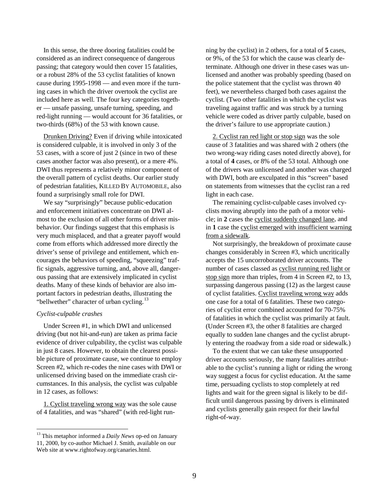In this sense, the three dooring fatalities could be considered as an indirect consequence of dangerous passing; that category would then cover 15 fatalities, or a robust 28% of the 53 cyclist fatalities of known cause during 1995-1998 — and even more if the turning cases in which the driver overtook the cyclist are included here as well. The four key categories together — unsafe passing, unsafe turning, speeding, and red-light running — would account for 36 fatalities, or two-thirds (68%) of the 53 with known cause.

Drunken Driving? Even if driving while intoxicated is considered culpable, it is involved in only 3 of the 53 cases, with a score of just 2 (since in two of these cases another factor was also present), or a mere 4%. DWI thus represents a relatively minor component of the overall pattern of cyclist deaths. Our earlier study of pedestrian fatalities, KILLED BY AUTOMOBILE, also found a surprisingly small role for DWI.

We say "surprisingly" because public-education and enforcement initiatives concentrate on DWI almost to the exclusion of all other forms of driver misbehavior. Our findings suggest that this emphasis is very much misplaced, and that a greater payoff would come from efforts which addressed more directly the driver's sense of privilege and entitlement, which encourages the behaviors of speeding, "squeezing" traffic signals, aggressive turning, and, above all, dangerous passing that are extensively implicated in cyclist deaths. Many of these kinds of behavior are also important factors in pedestrian deaths, illustrating the "bellwether" character of urban cycling.<sup>[13](#page-8-0)</sup>

# *Cyclist-culpable crashes*

Under Screen #1, in which DWI and unlicensed driving (but not hit-and-run) are taken as prima facie evidence of driver culpability, the cyclist was culpable in just 8 cases. However, to obtain the clearest possible picture of proximate cause, we continue to employ Screen #2, which re-codes the nine cases with DWI or unlicensed driving based on the immediate crash circumstances. In this analysis, the cyclist was culpable in 12 cases, as follows:

1. Cyclist traveling wrong way was the sole cause of 4 fatalities, and was "shared" (with red-light run-

ning by the cyclist) in 2 others, for a total of **5** cases, or 9%, of the 53 for which the cause was clearly determinate. Although one driver in these cases was unlicensed and another was probably speeding (based on the police statement that the cyclist was thrown 40 feet), we nevertheless charged both cases against the cyclist. (Two other fatalities in which the cyclist was traveling against traffic and was struck by a turning vehicle were coded as driver partly culpable, based on the driver's failure to use appropriate caution.)

2. Cyclist ran red light or stop sign was the sole cause of 3 fatalities and was shared with 2 others (the two wrong-way riding cases noted directly above), for a total of **4** cases, or 8% of the 53 total. Although one of the drivers was unlicensed and another was charged with DWI, both are exculpated in this "screen" based on statements from witnesses that the cyclist ran a red light in each case.

The remaining cyclist-culpable cases involved cyclists moving abruptly into the path of a motor vehicle; in **2** cases the cyclist suddenly changed lane, and in **1** case the cyclist emerged with insufficient warning from a sidewalk.

Not surprisingly, the breakdown of proximate cause changes considerably in Screen #3, which uncritically accepts the 15 uncorroborated driver accounts. The number of cases classed as cyclist running red light or stop sign more than triples, from 4 in Screen #2, to 13, surpassing dangerous passing (12) as the largest cause of cyclist fatalities. Cyclist traveling wrong way adds one case for a total of 6 fatalities. These two categories of cyclist error combined accounted for 70-75% of fatalities in which the cyclist was primarily at fault. (Under Screen #3, the other 8 fatalities are charged equally to sudden lane changes and the cyclist abruptly entering the roadway from a side road or sidewalk.)

To the extent that we can take these unsupported driver accounts seriously, the many fatalities attributable to the cyclist's running a light or riding the wrong way suggest a focus for cyclist education. At the same time, persuading cyclists to stop completely at red lights and wait for the green signal is likely to be difficult until dangerous passing by drivers is eliminated and cyclists generally gain respect for their lawful right-of-way.

<span id="page-8-0"></span> <sup>13</sup> This metaphor informed a *Daily News* op-ed on January 11, 2000, by co-author Michael J. Smith, available on our Web site at www.rightofway.org/canaries.html.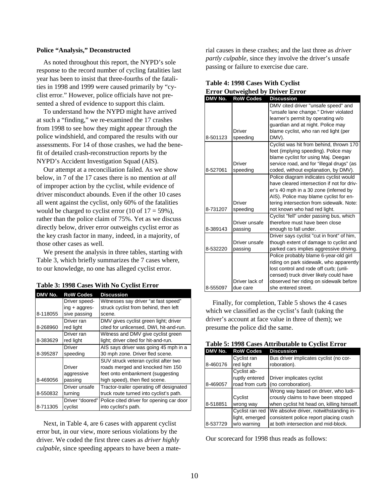## **Police "Analysis," Deconstructed**

As noted throughout this report, the NYPD's sole response to the record number of cycling fatalities last year has been to insist that three-fourths of the fatalities in 1998 and 1999 were caused primarily by "cyclist error." However, police officials have not presented a shred of evidence to support this claim.

To understand how the NYPD might have arrived at such a "finding," we re-examined the 17 crashes from 1998 to see how they might appear through the police windshield, and compared the results with our assessments. For 14 of those crashes, we had the benefit of detailed crash-reconstruction reports by the NYPD's Accident Investigation Squad (AIS).

Our attempt at a reconciliation failed. As we show below, in 7 of the 17 cases there is no mention *at all* of improper action by the cyclist, while evidence of driver misconduct abounds. Even if the other 10 cases all went against the cyclist, only 60% of the fatalities would be charged to cyclist error  $(10 \text{ of } 17 = 59\%)$ , rather than the police claim of 75%. Yet as we discuss directly below, driver error outweighs cyclist error as the key crash factor in many, indeed, in a majority, of those other cases as well.

We present the analysis in three tables, starting with Table 3, which briefly summarizes the 7 cases where, to our knowledge, no one has alleged cyclist error.

| DMV No.  | <b>RoW Codes</b>    | <b>Discussion</b>                        |
|----------|---------------------|------------------------------------------|
|          | Driver speed-       | Witnesses say driver "at fast speed"     |
|          | $ing + aggregates-$ | struck cyclist from behind, then left    |
| 8-118055 | sive passing        | scene.                                   |
|          | Driver ran          | DMV gives cyclist green light; driver    |
| 8-268960 | red light           | cited for unlicensed, DWI, hit-and-run.  |
|          | Driver ran          | Witness and DMV give cyclist green       |
| 8-383629 | red light           | light; driver cited for hit-and-run.     |
|          | Driver              | AIS says driver was going 45 mph in a    |
| 8-395287 | speeding            | 30 mph zone. Driver fled scene.          |
|          |                     | SUV struck veteran cyclist after two     |
|          | <b>Driver</b>       | roads merged and knocked him 150         |
|          | aggressive          | feet onto embankment (suggesting         |
| 8-469056 | passing             | high speed), then fled scene.            |
|          | Driver unsafe       | Tractor-trailer operating off designated |
| 8-550832 | turning             | truck route turned into cyclist's path.  |
|          | Driver "doored"     | Police cited driver for opening car door |
| 8-711305 | cyclist             | into cyclist's path.                     |

Next, in Table 4, are 6 cases with apparent cyclist error but, in our view, more serious violations by the driver. We coded the first three cases as *driver highly culpable*, since speeding appears to have been a mate-

rial causes in these crashes; and the last three as *driver partly culpable*, since they involve the driver's unsafe passing or failure to exercise due care.

| DMV No.  | <b>RoW Codes</b> | <b>Discussion</b>                          |
|----------|------------------|--------------------------------------------|
|          |                  | DMV cited driver "unsafe speed" and        |
|          |                  | "unsafe lane change." Driver violated      |
|          |                  | learner's permit by operating w/o          |
|          |                  | guardian and at night. Police may          |
|          | Driver           | blame cyclist, who ran red light (per      |
| 8-501123 | speeding         | DMV).                                      |
|          |                  | Cyclist was hit from behind, thrown 170    |
|          |                  | feet (implying speeding). Police may       |
|          |                  | blame cyclist for using Maj. Deegan        |
|          | Driver           | service road, and for "illegal drugs" (as  |
| 8-527061 | speeding         | coded, without explanation, by DMV).       |
|          |                  | Police diagram indicates cyclist would     |
|          |                  | have cleared intersection if not for driv- |
|          |                  | er's 40 mph in a 30 zone (inferred by      |
|          |                  | AIS). Police may blame cyclist for en-     |
|          | Driver           | tering intersection from sidewalk. Note:   |
| 8-731207 | speeding         | not known who had red light.               |
|          |                  | Cyclist "fell" under passing bus, which    |
|          | Driver unsafe    | therefore must have been close             |
| 8-389143 | passing          | enough to fall under.                      |
|          |                  | Driver says cyclist "cut in front" of him, |
|          | Driver unsafe    | though extent of damage to cyclist and     |
| 8-532220 | passing          | parked cars implies aggressive driving.    |
|          |                  | Police probably blame 6-year-old girl      |
|          |                  | riding on park sidewalk, who apparently    |
|          |                  | lost control and rode off curb; (unli-     |
|          |                  | censed) truck driver likely could have     |
|          | Driver lack of   | observed her riding on sidewalk before     |
| 8-555097 | due care         | she entered street.                        |

| Table 4: 1998 Cases With Cyclist |  |                                         |  |
|----------------------------------|--|-----------------------------------------|--|
|                                  |  | <b>Error Outweighed by Driver Error</b> |  |

Finally, for completion, Table 5 shows the 4 cases which we classified as the cyclist's fault (taking the driver's account at face value in three of them); we presume the police did the same.

| DMV No.  | <b>RoW Codes</b> | <b>Discussion</b>                      |
|----------|------------------|----------------------------------------|
|          | Cyclist ran      | Bus driver implicates cyclist (no cor- |
| 8-460176 | red light        | roboration).                           |
|          | Cyclist ab-      |                                        |
|          | ruptly entered   | Driver implicates cyclist              |
| 8-469057 | road from curb   | (no corroboration).                    |
|          |                  | Wrong way based on driver, who ludi-   |
|          | Cyclist          | crously claims to have been stopped    |

when cyclist hit head on, killing himself.

We absolve driver, notwithstanding inconsistent police report placing crash at both intersection and mid-block.

|      |  |  | Table 5: 1998 Cases Attributable to Cyclist Error |
|------|--|--|---------------------------------------------------|
| ____ |  |  |                                                   |

Our scorecard for 1998 thus reads as follows:

wrong way

Cyclist ran red light, emerged w/o warning

8-518851

8-537729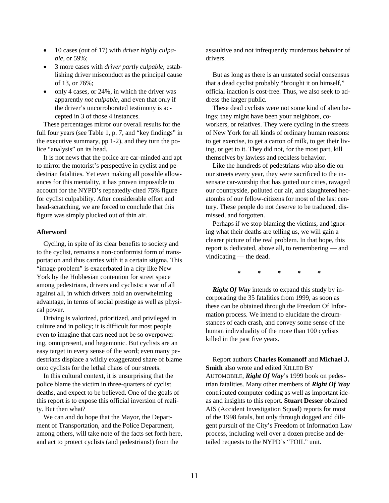- 10 cases (out of 17) with *driver highly culpable*, or 59%;
- 3 more cases with *driver partly culpable*, establishing driver misconduct as the principal cause of 13, or 76%;
- only 4 cases, or 24%, in which the driver was apparently *not culpable*, and even that only if the driver's uncorroborated testimony is accepted in 3 of those 4 instances.

These percentages mirror our overall results for the full four years (see Table 1, p. 7, and "key findings" in the executive summary, pp 1-2), and they turn the police "analysis" on its head.

It is not news that the police are car-minded and apt to mirror the motorist's perspective in cyclist and pedestrian fatalities. Yet even making all possible allowances for this mentality, it has proven impossible to account for the NYPD's repeatedly-cited 75% figure for cyclist culpability. After considerable effort and head-scratching, we are forced to conclude that this figure was simply plucked out of thin air.

# **Afterword**

Cycling, in spite of its clear benefits to society and to the cyclist, remains a non-conformist form of transportation and thus carries with it a certain stigma. This "image problem" is exacerbated in a city like New York by the Hobbesian contention for street space among pedestrians, drivers and cyclists: a war of all against all, in which drivers hold an overwhelming advantage, in terms of social prestige as well as physical power.

Driving is valorized, prioritized, and privileged in culture and in policy; it is difficult for most people even to imagine that cars need not be so overpowering, omnipresent, and hegemonic. But cyclists are an easy target in every sense of the word; even many pedestrians displace a wildly exaggerated share of blame onto cyclists for the lethal chaos of our streets.

In this cultural context, it is unsurprising that the police blame the victim in three-quarters of cyclist deaths, and expect to be believed. One of the goals of this report is to expose this official inversion of reality. But then what?

We can and do hope that the Mayor, the Department of Transportation, and the Police Department, among others, will take note of the facts set forth here, and act to protect cyclists (and pedestrians!) from the

assaultive and not infrequently murderous behavior of drivers.

But as long as there is an unstated social consensus that a dead cyclist probably "brought it on himself," official inaction is cost-free. Thus, we also seek to address the larger public.

These dead cyclists were not some kind of alien beings; they might have been your neighbors, coworkers, or relatives. They were cycling in the streets of New York for all kinds of ordinary human reasons: to get exercise, to get a carton of milk, to get their living, or get to it. They did not, for the most part, kill themselves by lawless and reckless behavior.

Like the hundreds of pedestrians who also die on our streets every year, they were sacrificed to the insensate car-worship that has gutted our cities, ravaged our countryside, polluted our air, and slaughtered hecatombs of our fellow-citizens for most of the last century. These people do not deserve to be traduced, dismissed, and forgotten.

Perhaps if we stop blaming the victims, and ignoring what their deaths are telling us, we will gain a clearer picture of the real problem. In that hope, this report is dedicated, above all, to remembering — and vindicating — the dead.

*\* \* \* \* \**

*Right Of Way* intends to expand this study by incorporating the 35 fatalities from 1999, as soon as these can be obtained through the Freedom Of Information process. We intend to elucidate the circumstances of each crash, and convey some sense of the human individuality of the more than 100 cyclists killed in the past five years.

Report authors **Charles Komanoff** and **Michael J. Smith** also wrote and edited KILLED BY AUTOMOBILE, *Right Of Way*'s 1999 book on pedestrian fatalities. Many other members of *Right Of Way* contributed computer coding as well as important ideas and insights to this report. **Stuart Desser** obtained AIS (Accident Investigation Squad) reports for most of the 1998 fatals, but only through dogged and diligent pursuit of the City's Freedom of Information Law process, including well over a dozen precise and detailed requests to the NYPD's "FOIL" unit.